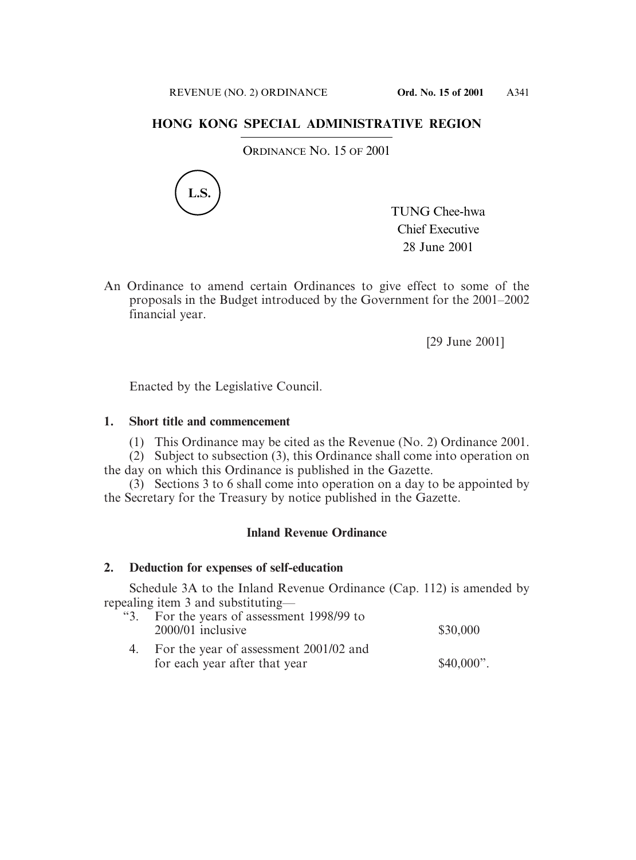# **HONG KONG SPECIAL ADMINISTRATIVE REGION**

ORDINANCE NO. 15 OF 2001



TUNG Chee-hwa Chief Executive 28 June 2001

An Ordinance to amend certain Ordinances to give effect to some of the proposals in the Budget introduced by the Government for the 2001–2002 financial year.

[29 June 2001]

Enacted by the Legislative Council.

# **1. Short title and commencement**

(1) This Ordinance may be cited as the Revenue (No. 2) Ordinance 2001.

(2) Subject to subsection (3), this Ordinance shall come into operation on the day on which this Ordinance is published in the Gazette.

(3) Sections 3 to 6 shall come into operation on a day to be appointed by the Secretary for the Treasury by notice published in the Gazette.

# **Inland Revenue Ordinance**

# **2. Deduction for expenses of self-education**

Schedule 3A to the Inland Revenue Ordinance (Cap. 112) is amended by repealing item 3 and substituting—

| "3. For the years of assessment 1998/99 to<br>2000/01 inclusive            | \$30,000     |
|----------------------------------------------------------------------------|--------------|
| 4. For the year of assessment 2001/02 and<br>for each year after that year | $$40,000$ ". |